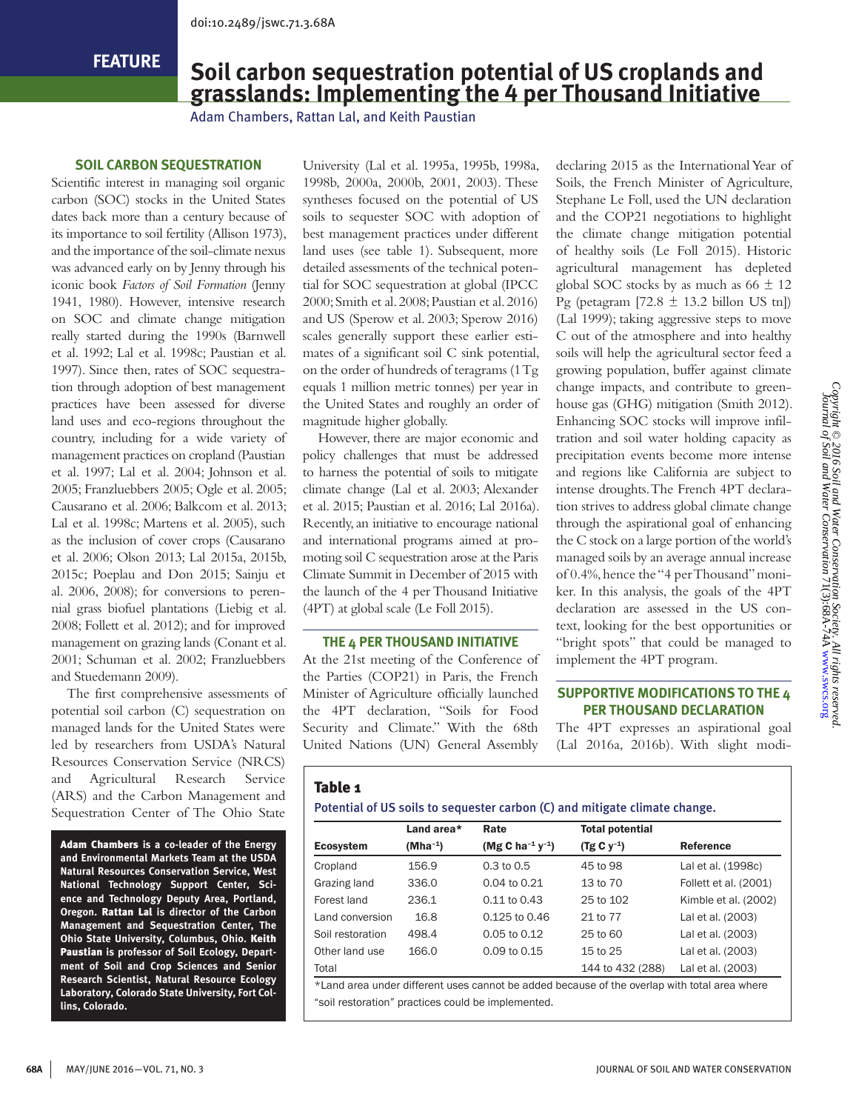**FEATURE**

# **Soil carbon sequestration potential of US croplands and grasslands: Implementing the 4 per Thousand Initiative**

Adam Chambers, Rattan Lal, and Keith Paustian

# **SOIL CARBON SEQUESTRATION**

Scientific interest in managing soil organic carbon (SOC) stocks in the United States dates back more than a century because of its importance to soil fertility (Allison 1973), and the importance of the soil-climate nexus was advanced early on by Jenny through his iconic book *Factors of Soil Formation* (Jenny 1941, 1980). However, intensive research on SOC and climate change mitigation really started during the 1990s (Barnwell et al. 1992; Lal et al. 1998c; Paustian et al. 1997). Since then, rates of SOC sequestration through adoption of best management practices have been assessed for diverse land uses and eco-regions throughout the country, including for a wide variety of management practices on cropland (Paustian et al. 1997; Lal et al. 2004; Johnson et al. 2005; Franzluebbers 2005; Ogle et al. 2005; Causarano et al. 2006; Balkcom et al. 2013; Lal et al. 1998c; Martens et al. 2005), such as the inclusion of cover crops (Causarano et al. 2006; Olson 2013; Lal 2015a, 2015b, 2015c; Poeplau and Don 2015; Sainju et al. 2006, 2008); for conversions to perennial grass biofuel plantations (Liebig et al. 2008; Follett et al. 2012); and for improved management on grazing lands (Conant et al. 2001; Schuman et al. 2002; Franzluebbers and Stuedemann 2009).

The first comprehensive assessments of potential soil carbon (C) sequestration on managed lands for the United States were led by researchers from USDA's Natural Resources Conservation Service (NRCS) and Agricultural Research Service (ARS) and the Carbon Management and Sequestration Center of The Ohio State

Adam Chambers **is a co-leader of the Energy and Environmental Markets Team at the USDA Natural Resources Conservation Service, West National Technology Support Center, Science and Technology Deputy Area, Portland, Oregon.** Rattan Lal **is director of the Carbon Management and Sequestration Center, The Ohio State University, Columbus, Ohio.** Keith Paustian **is professor of Soil Ecology, Department of Soil and Crop Sciences and Senior Research Scientist, Natural Resource Ecology Laboratory, Colorado State University, Fort Collins, Colorado.**

University (Lal et al. 1995a, 1995b, 1998a, 1998b, 2000a, 2000b, 2001, 2003). These syntheses focused on the potential of US soils to sequester SOC with adoption of best management practices under different land uses (see table 1). Subsequent, more detailed assessments of the technical potential for SOC sequestration at global (IPCC 2000; Smith et al. 2008; Paustian et al. 2016) and US (Sperow et al. 2003; Sperow 2016) scales generally support these earlier estimates of a significant soil C sink potential, on the order of hundreds of teragrams (1 Tg equals 1 million metric tonnes) per year in the United States and roughly an order of magnitude higher globally.

However, there are major economic and policy challenges that must be addressed to harness the potential of soils to mitigate climate change (Lal et al. 2003; Alexander et al. 2015; Paustian et al. 2016; Lal 2016a). Recently, an initiative to encourage national and international programs aimed at promoting soil C sequestration arose at the Paris Climate Summit in December of 2015 with the launch of the 4 per Thousand Initiative (4PT) at global scale (Le Foll 2015).

#### **THE 4 PER THOUSAND INITIATIVE**

At the 21st meeting of the Conference of the Parties (COP21) in Paris, the French Minister of Agriculture officially launched the 4PT declaration, "Soils for Food Security and Climate." With the 68th United Nations (UN) General Assembly

declaring 2015 as the International Year of Soils, the French Minister of Agriculture, Stephane Le Foll, used the UN declaration and the COP21 negotiations to highlight the climate change mitigation potential of healthy soils (Le Foll 2015). Historic agricultural management has depleted global SOC stocks by as much as  $66 \pm 12$ Pg (petagram [72.8  $\pm$  13.2 billon US tn]) (Lal 1999); taking aggressive steps to move C out of the atmosphere and into healthy soils will help the agricultural sector feed a growing population, buffer against climate change impacts, and contribute to greenhouse gas (GHG) mitigation (Smith 2012). Enhancing SOC stocks will improve infiltration and soil water holding capacity as precipitation events become more intense and regions like California are subject to intense droughts. The French 4PT declaration strives to address global climate change through the aspirational goal of enhancing the C stock on a large portion of the world's managed soils by an average annual increase of 0.4%, hence the "4 per Thousand" moniker. In this analysis, the goals of the 4PT declaration are assessed in the US context, looking for the best opportunities or "bright spots" that could be managed to implement the 4PT program.

# **SUPPORTIVE MODIFICATIONS TO THE 4 PER THOUSAND DECLARATION**

The 4PT expresses an aspirational goal (Lal 2016a, 2016b). With slight modi-

# Table 1

Potential of US soils to sequester carbon (C) and mitigate climate change.

|                  | Land area*           | Rate                                     | <b>Total potential</b> |                       |
|------------------|----------------------|------------------------------------------|------------------------|-----------------------|
| <b>Ecosystem</b> | (Mha <sup>-1</sup> ) | (Mg C ha <sup>-1</sup> y <sup>-1</sup> ) | $(Tg C y^{-1})$        | Reference             |
| Cropland         | 156.9                | $0.3 \text{ to } 0.5$                    | 45 to 98               | Lal et al. (1998c)    |
| Grazing land     | 336.0                | 0.04 to 0.21                             | 13 to 70               | Follett et al. (2001) |
| Forest land      | 236.1                | 0.11 to 0.43                             | 25 to 102              | Kimble et al. (2002)  |
| Land conversion  | 16.8                 | $0.125$ to $0.46$                        | 21 to 77               | Lal et al. (2003)     |
| Soil restoration | 498.4                | $0.05$ to 0.12                           | 25 to 60               | Lal et al. (2003)     |
| Other land use   | 166.0                | 0.09 to 0.15                             | 15 to 25               | Lal et al. (2003)     |
| Total            |                      |                                          | 144 to 432 (288)       | Lal et al. (2003)     |

\*Land area under different uses cannot be added because of the overlap with total area where "soil restoration" practices could be implemented.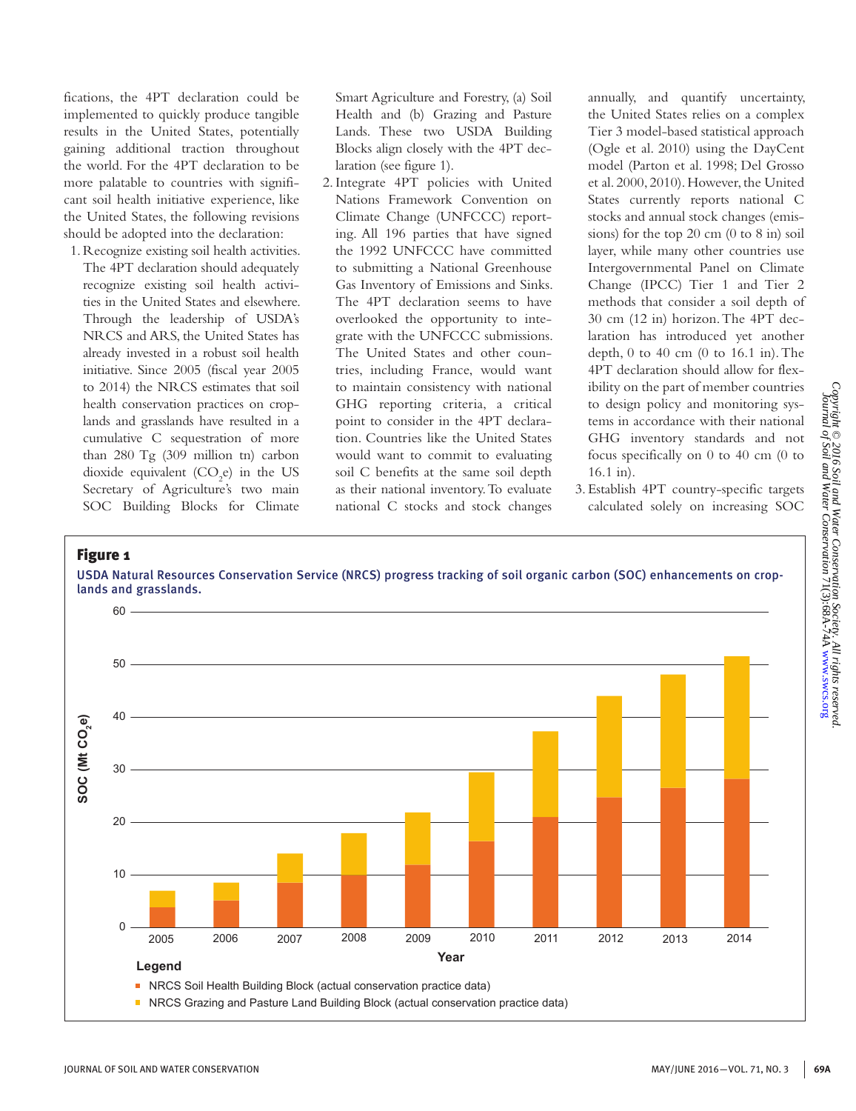fications, the 4PT declaration could be implemented to quickly produce tangible results in the United States, potentially gaining additional traction throughout the world. For the 4PT declaration to be more palatable to countries with significant soil health initiative experience, like the United States, the following revisions should be adopted into the declaration:

1. Recognize existing soil health activities. The 4PT declaration should adequately recognize existing soil health activities in the United States and elsewhere. Through the leadership of USDA's NRCS and ARS, the United States has already invested in a robust soil health initiative. Since 2005 (fiscal year 2005 to 2014) the NRCS estimates that soil health conservation practices on croplands and grasslands have resulted in a cumulative C sequestration of more than 280 Tg (309 million tn) carbon dioxide equivalent  $(CO_2e)$  in the US Secretary of Agriculture's two main SOC Building Blocks for Climate

Smart Agriculture and Forestry, (a) Soil Health and (b) Grazing and Pasture Lands. These two USDA Building Blocks align closely with the 4PT declaration (see figure 1).

2.Integrate 4PT policies with United Nations Framework Convention on Climate Change (UNFCCC) reporting. All 196 parties that have signed the 1992 UNFCCC have committed to submitting a National Greenhouse Gas Inventory of Emissions and Sinks. The 4PT declaration seems to have overlooked the opportunity to integrate with the UNFCCC submissions. The United States and other countries, including France, would want to maintain consistency with national GHG reporting criteria, a critical point to consider in the 4PT declaration. Countries like the United States would want to commit to evaluating soil C benefits at the same soil depth as their national inventory. To evaluate national C stocks and stock changes

annually, and quantify uncertainty, the United States relies on a complex Tier 3 model-based statistical approach (Ogle et al. 2010) using the DayCent model (Parton et al. 1998; Del Grosso et al. 2000, 2010). However, the United States currently reports national C stocks and annual stock changes (emissions) for the top 20 cm (0 to 8 in) soil layer, while many other countries use Intergovernmental Panel on Climate Change (IPCC) Tier 1 and Tier 2 methods that consider a soil depth of 30 cm (12 in) horizon. The 4PT declaration has introduced yet another depth, 0 to 40 cm (0 to 16.1 in). The 4PT declaration should allow for flexibility on the part of member countries to design policy and monitoring systems in accordance with their national GHG inventory standards and not focus specifically on 0 to 40 cm (0 to 16.1 in).

3. Establish 4PT country-specific targets calculated solely on increasing SOC

## Figure 1

USDA Natural Resources Conservation Service (NRCS) progress tracking of soil organic carbon (SOC) enhancements on croplands and grasslands.

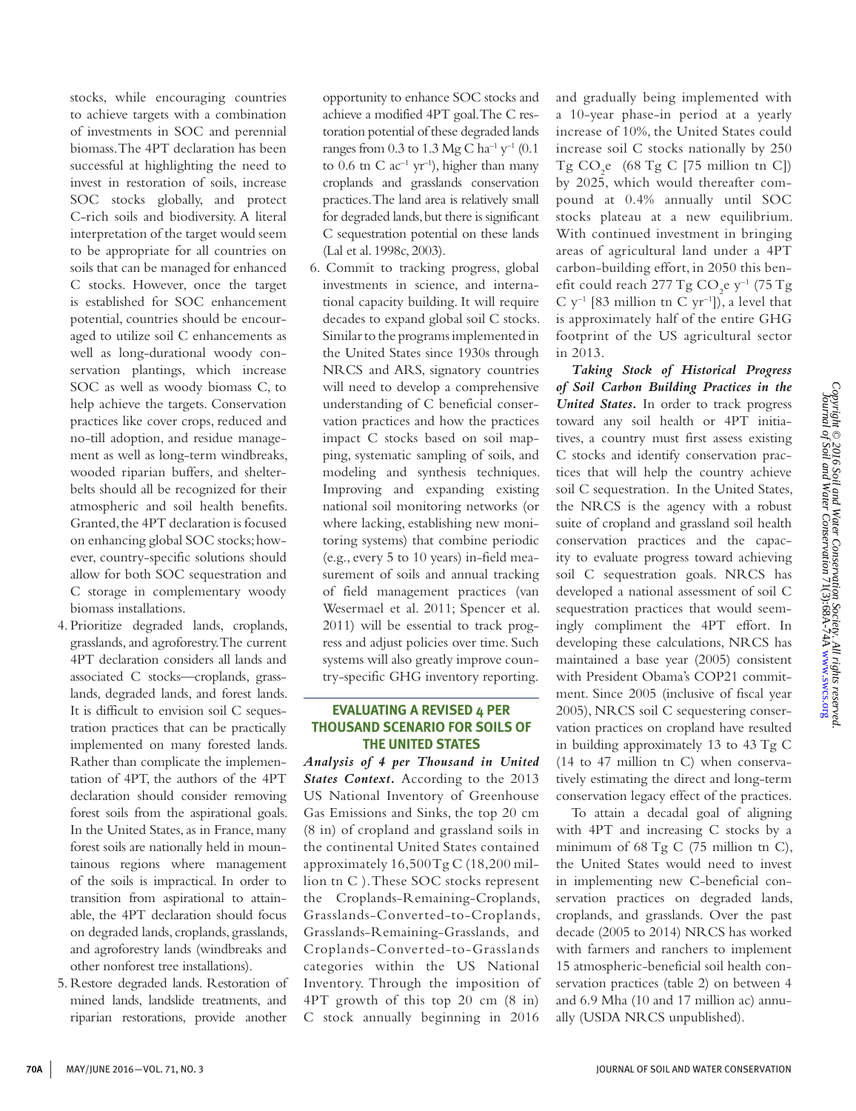stocks, while encouraging countries to achieve targets with a combination of investments in SOC and perennial biomass. The 4PT declaration has been successful at highlighting the need to invest in restoration of soils, increase SOC stocks globally, and protect C-rich soils and biodiversity. A literal interpretation of the target would seem to be appropriate for all countries on soils that can be managed for enhanced C stocks. However, once the target is established for SOC enhancement potential, countries should be encouraged to utilize soil C enhancements as well as long-durational woody conservation plantings, which increase SOC as well as woody biomass C, to help achieve the targets. Conservation practices like cover crops, reduced and no-till adoption, and residue management as well as long-term windbreaks, wooded riparian buffers, and shelterbelts should all be recognized for their atmospheric and soil health benefits. Granted, the 4PT declaration is focused on enhancing global SOC stocks; however, country-specific solutions should allow for both SOC sequestration and C storage in complementary woody biomass installations.

- 4. Prioritize degraded lands, croplands, grasslands, and agroforestry. The current 4PT declaration considers all lands and associated C stocks—croplands, grasslands, degraded lands, and forest lands. It is difficult to envision soil C sequestration practices that can be practically implemented on many forested lands. Rather than complicate the implementation of 4PT, the authors of the 4PT declaration should consider removing forest soils from the aspirational goals. In the United States, as in France, many forest soils are nationally held in mountainous regions where management of the soils is impractical. In order to transition from aspirational to attainable, the 4PT declaration should focus on degraded lands, croplands, grasslands, and agroforestry lands (windbreaks and other nonforest tree installations).
- 5. Restore degraded lands. Restoration of mined lands, landslide treatments, and riparian restorations, provide another

opportunity to enhance SOC stocks and achieve a modified 4PT goal. The C restoration potential of these degraded lands ranges from 0.3 to 1.3 Mg C ha<sup>-1</sup> y<sup>-1</sup> (0.1) to 0.6 tn C  $ac^{-1}$  yr<sup>-1</sup>), higher than many croplands and grasslands conservation practices. The land area is relatively small for degraded lands, but there is significant C sequestration potential on these lands (Lal et al. 1998c, 2003).

6. Commit to tracking progress, global investments in science, and international capacity building. It will require decades to expand global soil C stocks. Similar to the programs implemented in the United States since 1930s through NRCS and ARS, signatory countries will need to develop a comprehensive understanding of C beneficial conservation practices and how the practices impact C stocks based on soil mapping, systematic sampling of soils, and modeling and synthesis techniques. Improving and expanding existing national soil monitoring networks (or where lacking, establishing new monitoring systems) that combine periodic (e.g., every 5 to 10 years) in-field measurement of soils and annual tracking of field management practices (van Wesermael et al. 2011; Spencer et al. 2011) will be essential to track progress and adjust policies over time. Such systems will also greatly improve country-specific GHG inventory reporting.

## **EVALUATING A REVISED 4 PER THOUSAND SCENARIO FOR SOILS OF THE UNITED STATES**

*Analysis of 4 per Thousand in United States Context.* According to the 2013 US National Inventory of Greenhouse Gas Emissions and Sinks, the top 20 cm (8 in) of cropland and grassland soils in the continental United States contained approximately  $16,500$  Tg C (18,200 million tn C ). These SOC stocks represent the Croplands-Remaining-Croplands, Grasslands-Converted-to-Croplands, Grasslands-Remaining-Grasslands, and Croplands-Converted-to-Grasslands categories within the US National Inventory. Through the imposition of 4PT growth of this top 20 cm (8 in) C stock annually beginning in 2016

and gradually being implemented with a 10-year phase-in period at a yearly increase of 10%, the United States could increase soil C stocks nationally by 250  $Tg CO<sub>2</sub>e (68 Tg C [75 million tn C])$ by 2025, which would thereafter compound at 0.4% annually until SOC stocks plateau at a new equilibrium. With continued investment in bringing areas of agricultural land under a 4PT carbon-building effort, in 2050 this benefit could reach 277 Tg  $CO_2$ e y<sup>-1</sup> (75 Tg C  $y^{-1}$  [83 million tn C  $yr^{-1}$ ]), a level that is approximately half of the entire GHG footprint of the US agricultural sector in 2013.

*Taking Stock of Historical Progress of Soil Carbon Building Practices in the United States.* In order to track progress toward any soil health or 4PT initiatives, a country must first assess existing C stocks and identify conservation practices that will help the country achieve soil C sequestration. In the United States, the NRCS is the agency with a robust suite of cropland and grassland soil health conservation practices and the capacity to evaluate progress toward achieving soil C sequestration goals. NRCS has developed a national assessment of soil C sequestration practices that would seemingly compliment the 4PT effort. In developing these calculations, NRCS has maintained a base year (2005) consistent with President Obama's COP21 commitment. Since 2005 (inclusive of fiscal year 2005), NRCS soil C sequestering conservation practices on cropland have resulted in building approximately 13 to 43 Tg C (14 to 47 million tn C) when conservatively estimating the direct and long-term conservation legacy effect of the practices.

To attain a decadal goal of aligning with 4PT and increasing C stocks by a minimum of 68 Tg C (75 million tn C), the United States would need to invest in implementing new C-beneficial conservation practices on degraded lands, croplands, and grasslands. Over the past decade (2005 to 2014) NRCS has worked with farmers and ranchers to implement 15 atmospheric-beneficial soil health conservation practices (table 2) on between 4 and 6.9 Mha (10 and 17 million ac) annually (USDA NRCS unpublished).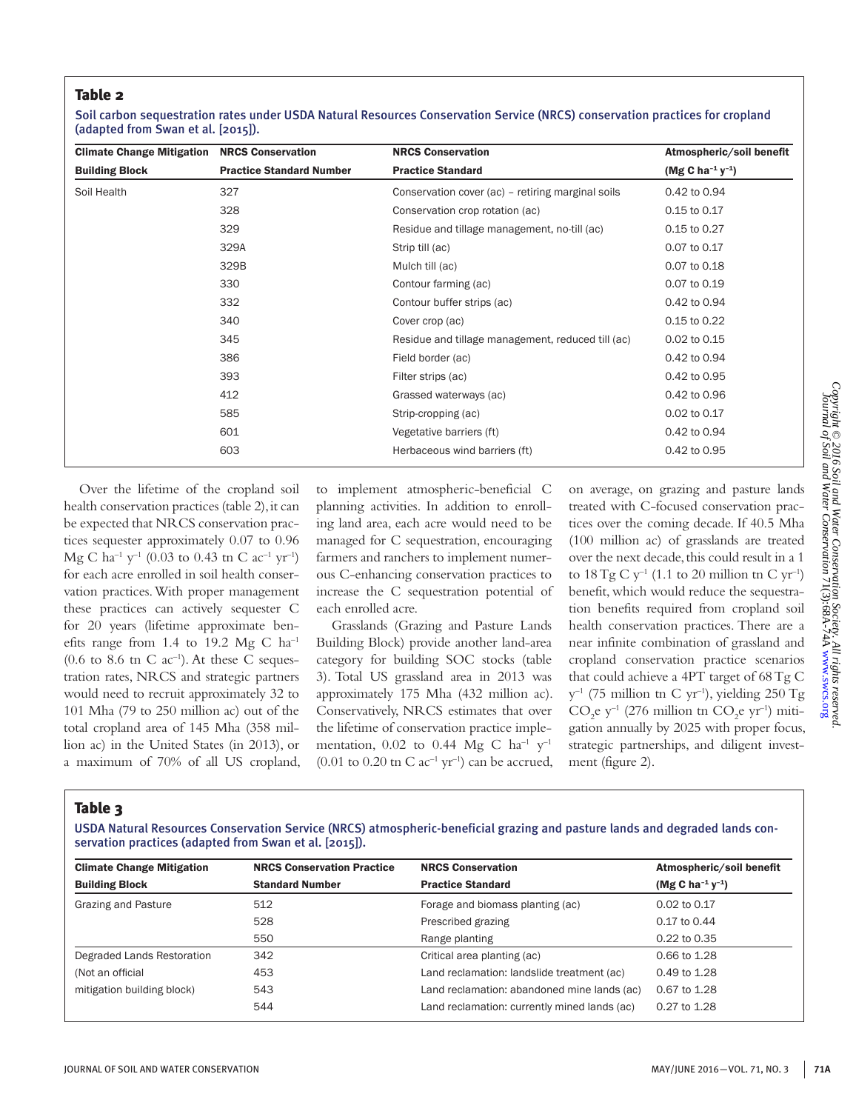## Table 2

Soil carbon sequestration rates under USDA Natural Resources Conservation Service (NRCS) conservation practices for cropland (adapted from Swan et al. [2015]).

| <b>Climate Change Mitigation</b> | <b>NRCS Conservation</b>        | <b>NRCS Conservation</b>                          | Atmospheric/soil benefit                 |
|----------------------------------|---------------------------------|---------------------------------------------------|------------------------------------------|
| <b>Building Block</b>            | <b>Practice Standard Number</b> | <b>Practice Standard</b>                          | (Mg C ha <sup>-1</sup> y <sup>-1</sup> ) |
| Soil Health                      | 327                             | Conservation cover (ac) - retiring marginal soils | 0.42 to 0.94                             |
|                                  | 328                             | Conservation crop rotation (ac)                   | 0.15 to 0.17                             |
|                                  | 329                             | Residue and tillage management, no-till (ac)      | 0.15 to 0.27                             |
|                                  | 329A                            | Strip till (ac)                                   | 0.07 to 0.17                             |
|                                  | 329B                            | Mulch till (ac)                                   | 0.07 to 0.18                             |
|                                  | 330                             | Contour farming (ac)                              | 0.07 to 0.19                             |
|                                  | 332                             | Contour buffer strips (ac)                        | 0.42 to 0.94                             |
|                                  | 340                             | Cover crop (ac)                                   | 0.15 to 0.22                             |
|                                  | 345                             | Residue and tillage management, reduced till (ac) | 0.02 to 0.15                             |
|                                  | 386                             | Field border (ac)                                 | 0.42 to 0.94                             |
|                                  | 393                             | Filter strips (ac)                                | 0.42 to 0.95                             |
|                                  | 412                             | Grassed waterways (ac)                            | 0.42 to 0.96                             |
|                                  | 585                             | Strip-cropping (ac)                               | 0.02 to 0.17                             |
|                                  | 601                             | Vegetative barriers (ft)                          | 0.42 to 0.94                             |
|                                  | 603                             | Herbaceous wind barriers (ft)                     | 0.42 to 0.95                             |

Over the lifetime of the cropland soil health conservation practices (table 2), it can be expected that NRCS conservation practices sequester approximately 0.07 to 0.96 Mg C ha<sup>-1</sup> y<sup>-1</sup> (0.03 to 0.43 tn C ac<sup>-1</sup> yr<sup>-1</sup>) for each acre enrolled in soil health conservation practices. With proper management these practices can actively sequester C for 20 years (lifetime approximate benefits range from 1.4 to 19.2 Mg C  $ha^{-1}$  $(0.6 \text{ to } 8.6 \text{ in } C \text{ ac}^{-1})$ . At these C sequestration rates, NRCS and strategic partners would need to recruit approximately 32 to 101 Mha (79 to 250 million ac) out of the total cropland area of 145 Mha (358 million ac) in the United States (in 2013), or a maximum of 70% of all US cropland, to implement atmospheric-beneficial C planning activities. In addition to enrolling land area, each acre would need to be managed for C sequestration, encouraging farmers and ranchers to implement numerous C-enhancing conservation practices to increase the C sequestration potential of each enrolled acre.

Grasslands (Grazing and Pasture Lands Building Block) provide another land-area category for building SOC stocks (table 3). Total US grassland area in 2013 was approximately 175 Mha (432 million ac). Conservatively, NRCS estimates that over the lifetime of conservation practice implementation, 0.02 to 0.44 Mg C  $ha^{-1}$   $y^{-1}$  $(0.01 \text{ to } 0.20 \text{ in C ac}^{-1} \text{ yr}^{-1})$  can be accrued,

on average, on grazing and pasture lands treated with C-focused conservation practices over the coming decade. If 40.5 Mha (100 million ac) of grasslands are treated over the next decade, this could result in a 1 to  $18 \text{ Tg C y}^{-1}$  (1.1 to 20 million tn C yr<sup>-1</sup>) benefit, which would reduce the sequestration benefits required from cropland soil health conservation practices. There are a near infinite combination of grassland and cropland conservation practice scenarios that could achieve a 4PT target of 68 Tg C  $y^{-1}$  (75 million tn C yr<sup>-1</sup>), yielding 250 Tg  $CO_2$ e y<sup>-1</sup> (276 million tn  $CO_2$ e yr<sup>-1</sup>) mitigation annually by 2025 with proper focus, strategic partnerships, and diligent investment (figure 2).

# Table 3

USDA Natural Resources Conservation Service (NRCS) atmospheric-beneficial grazing and pasture lands and degraded lands conservation practices (adapted from Swan et al. [2015]).

| <b>Climate Change Mitigation</b> | <b>NRCS Conservation Practice</b> | <b>NRCS Conservation</b>                     | Atmospheric/soil benefit                 |
|----------------------------------|-----------------------------------|----------------------------------------------|------------------------------------------|
| <b>Building Block</b>            | <b>Standard Number</b>            | <b>Practice Standard</b>                     | (Mg C ha <sup>-1</sup> y <sup>-1</sup> ) |
| Grazing and Pasture              | 512                               | Forage and biomass planting (ac)             | 0.02 to 0.17                             |
|                                  | 528                               | Prescribed grazing                           | 0.17 to 0.44                             |
|                                  | 550                               | Range planting                               | 0.22 to 0.35                             |
| Degraded Lands Restoration       | 342                               | Critical area planting (ac)                  | 0.66 to 1.28                             |
| (Not an official                 | 453                               | Land reclamation: landslide treatment (ac)   | 0.49 to 1.28                             |
| mitigation building block)       | 543                               | Land reclamation: abandoned mine lands (ac)  | 0.67 to 1.28                             |
|                                  | 544                               | Land reclamation: currently mined lands (ac) | 0.27 to 1.28                             |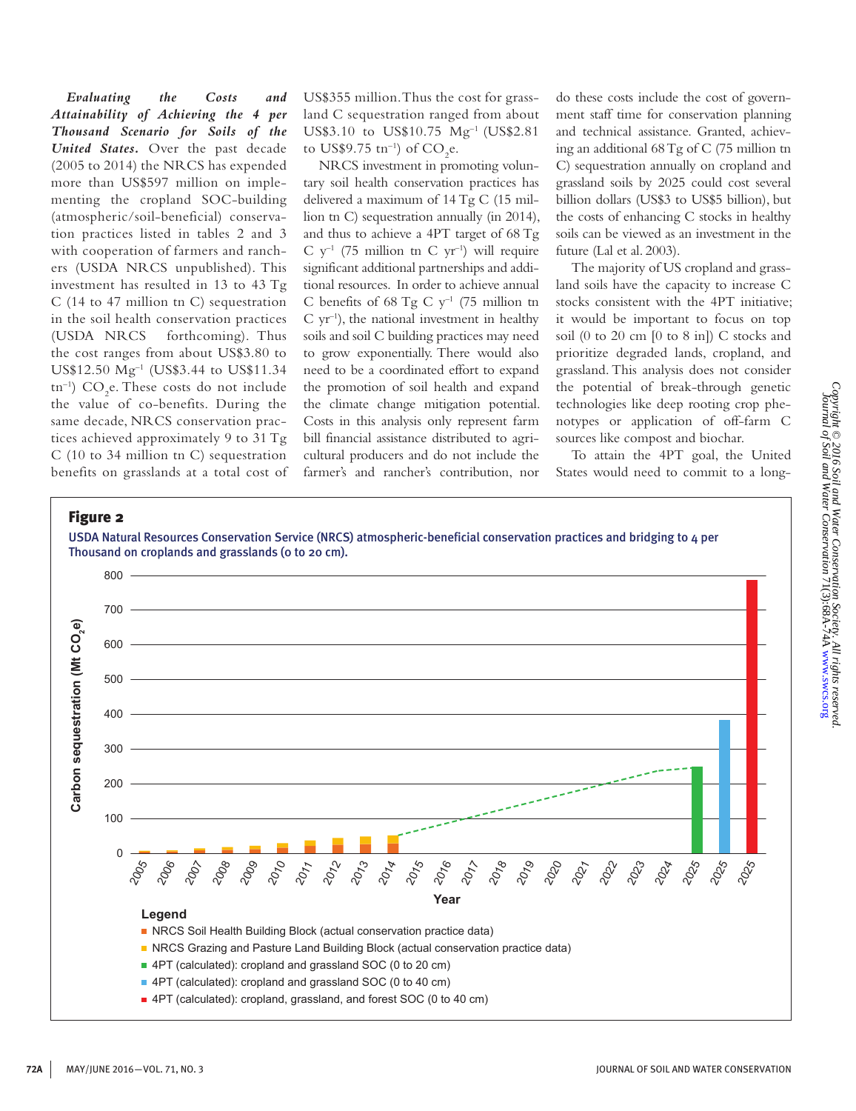*Evaluating the Costs and Attainability of Achieving the 4 per Thousand Scenario for Soils of the United States.* Over the past decade (2005 to 2014) the NRCS has expended more than US\$597 million on implementing the cropland SOC-building (atmospheric/soil-beneficial) conservation practices listed in tables 2 and 3 with cooperation of farmers and ranchers (USDA NRCS unpublished). This investment has resulted in 13 to 43 Tg C (14 to 47 million tn C) sequestration in the soil health conservation practices (USDA NRCS forthcoming). Thus the cost ranges from about US\$3.80 to US\$12.50 Mg–1 (US\$3.44 to US\$11.34 tn<sup>-1</sup>)  $CO<sub>2</sub>e$ . These costs do not include the value of co-benefits. During the same decade, NRCS conservation practices achieved approximately 9 to 31 Tg C (10 to 34 million tn C) sequestration benefits on grasslands at a total cost of US\$355 million. Thus the cost for grassland C sequestration ranged from about US\$3.10 to US\$10.75 Mg–1 (US\$2.81 to US\$9.75  $\text{tn}^{-1}$ ) of CO<sub>2</sub>e.

NRCS investment in promoting voluntary soil health conservation practices has delivered a maximum of 14 Tg C (15 million tn C) sequestration annually (in 2014), and thus to achieve a 4PT target of 68 Tg  $C$  y<sup>-1</sup> (75 million tn C yr<sup>-1</sup>) will require significant additional partnerships and additional resources. In order to achieve annual C benefits of 68 Tg C  $y^{-1}$  (75 million tn  $C$  yr<sup>-1</sup>), the national investment in healthy soils and soil C building practices may need to grow exponentially. There would also need to be a coordinated effort to expand the promotion of soil health and expand the climate change mitigation potential. Costs in this analysis only represent farm bill financial assistance distributed to agricultural producers and do not include the farmer's and rancher's contribution, nor

do these costs include the cost of government staff time for conservation planning and technical assistance. Granted, achieving an additional 68 Tg of C (75 million tn C) sequestration annually on cropland and grassland soils by 2025 could cost several billion dollars (US\$3 to US\$5 billion), but the costs of enhancing C stocks in healthy soils can be viewed as an investment in the future (Lal et al. 2003).

The majority of US cropland and grassland soils have the capacity to increase C stocks consistent with the 4PT initiative; it would be important to focus on top soil (0 to 20 cm [0 to 8 in]) C stocks and prioritize degraded lands, cropland, and grassland. This analysis does not consider the potential of break-through genetic technologies like deep rooting crop phenotypes or application of off-farm C sources like compost and biochar.

To attain the 4PT goal, the United States would need to commit to a long-

#### Figure 2

USDA Natural Resources Conservation Service (NRCS) atmospheric-beneficial conservation practices and bridging to 4 per Thousand on croplands and grasslands (0 to 20 cm).

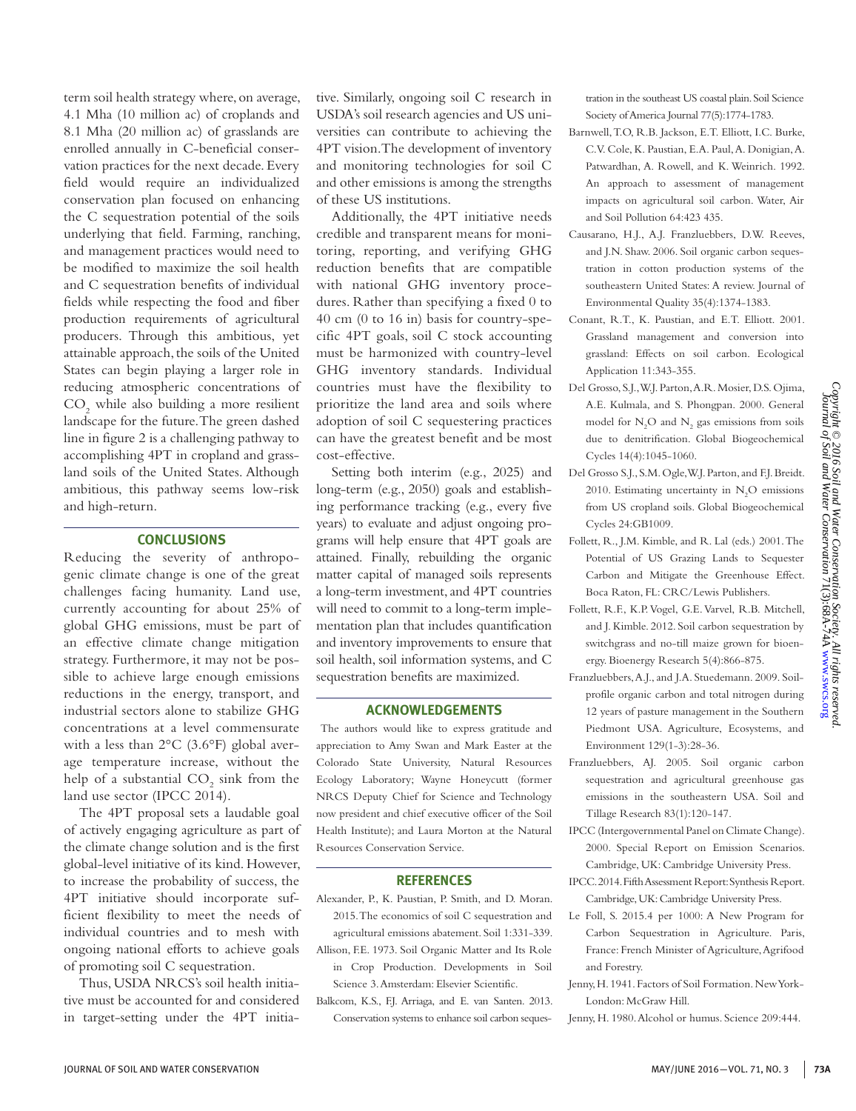term soil health strategy where, on average, 4.1 Mha (10 million ac) of croplands and 8.1 Mha (20 million ac) of grasslands are enrolled annually in C-beneficial conservation practices for the next decade. Every field would require an individualized conservation plan focused on enhancing the C sequestration potential of the soils underlying that field. Farming, ranching, and management practices would need to be modified to maximize the soil health and C sequestration benefits of individual fields while respecting the food and fiber production requirements of agricultural producers. Through this ambitious, yet attainable approach, the soils of the United States can begin playing a larger role in reducing atmospheric concentrations of  $\mathrm{CO}_2$  while also building a more resilient landscape for the future. The green dashed line in figure 2 is a challenging pathway to accomplishing 4PT in cropland and grassland soils of the United States. Although ambitious, this pathway seems low-risk and high-return.

#### **CONCLUSIONS**

Reducing the severity of anthropogenic climate change is one of the great challenges facing humanity. Land use, currently accounting for about 25% of global GHG emissions, must be part of an effective climate change mitigation strategy. Furthermore, it may not be possible to achieve large enough emissions reductions in the energy, transport, and industrial sectors alone to stabilize GHG concentrations at a level commensurate with a less than 2°C (3.6°F) global average temperature increase, without the help of a substantial  $CO_2$  sink from the land use sector (IPCC 2014).

The 4PT proposal sets a laudable goal of actively engaging agriculture as part of the climate change solution and is the first global-level initiative of its kind. However, to increase the probability of success, the 4PT initiative should incorporate sufficient flexibility to meet the needs of individual countries and to mesh with ongoing national efforts to achieve goals of promoting soil C sequestration.

Thus, USDA NRCS's soil health initiative must be accounted for and considered in target-setting under the 4PT initiative. Similarly, ongoing soil C research in USDA's soil research agencies and US universities can contribute to achieving the 4PT vision. The development of inventory and monitoring technologies for soil C and other emissions is among the strengths of these US institutions.

Additionally, the 4PT initiative needs credible and transparent means for monitoring, reporting, and verifying GHG reduction benefits that are compatible with national GHG inventory procedures. Rather than specifying a fixed 0 to 40 cm (0 to 16 in) basis for country-specific 4PT goals, soil C stock accounting must be harmonized with country-level GHG inventory standards. Individual countries must have the flexibility to prioritize the land area and soils where adoption of soil C sequestering practices can have the greatest benefit and be most cost-effective.

Setting both interim (e.g., 2025) and long-term (e.g., 2050) goals and establishing performance tracking (e.g., every five years) to evaluate and adjust ongoing programs will help ensure that 4PT goals are attained. Finally, rebuilding the organic matter capital of managed soils represents a long-term investment, and 4PT countries will need to commit to a long-term implementation plan that includes quantification and inventory improvements to ensure that soil health, soil information systems, and C sequestration benefits are maximized.

#### **ACKNOWLEDGEMENTS**

 The authors would like to express gratitude and appreciation to Amy Swan and Mark Easter at the Colorado State University, Natural Resources Ecology Laboratory; Wayne Honeycutt (former NRCS Deputy Chief for Science and Technology now president and chief executive officer of the Soil Health Institute); and Laura Morton at the Natural Resources Conservation Service.

#### **REFERENCES**

- Alexander, P., K. Paustian, P. Smith, and D. Moran. 2015. The economics of soil C sequestration and agricultural emissions abatement. Soil 1:331-339.
- Allison, F.E. 1973. Soil Organic Matter and Its Role in Crop Production. Developments in Soil Science 3. Amsterdam: Elsevier Scientific.
- Balkcom, K.S., F.J. Arriaga, and E. van Santen. 2013. Conservation systems to enhance soil carbon seques-

tration in the southeast US coastal plain. Soil Science Society of America Journal 77(5):1774-1783.

- Barnwell, T.O, R.B. Jackson, E.T. Elliott, I.C. Burke, C.V. Cole, K. Paustian, E.A. Paul, A. Donigian, A. Patwardhan, A. Rowell, and K. Weinrich. 1992. An approach to assessment of management impacts on agricultural soil carbon. Water, Air and Soil Pollution 64:423 435.
- Causarano, H.J., A.J. Franzluebbers, D.W. Reeves, and J.N. Shaw. 2006. Soil organic carbon sequestration in cotton production systems of the southeastern United States: A review. Journal of Environmental Quality 35(4):1374-1383.
- Conant, R.T., K. Paustian, and E.T. Elliott. 2001. Grassland management and conversion into grassland: Effects on soil carbon. Ecological Application 11:343-355.
- Del Grosso, S.J., W.J. Parton, A.R. Mosier, D.S. Ojima, A.E. Kulmala, and S. Phongpan. 2000. General model for  $N_2$ O and  $N_2$  gas emissions from soils due to denitrification. Global Biogeochemical Cycles 14(4):1045-1060.
- Del Grosso S.J., S.M. Ogle, W.J. Parton, and F.J. Breidt. 2010. Estimating uncertainty in  $N_2O$  emissions from US cropland soils. Global Biogeochemical Cycles 24:GB1009.
- Follett, R., J.M. Kimble, and R. Lal (eds.) 2001. The Potential of US Grazing Lands to Sequester Carbon and Mitigate the Greenhouse Effect. Boca Raton, FL: CRC/Lewis Publishers.
- Follett, R.F., K.P. Vogel, G.E. Varvel, R.B. Mitchell, and J. Kimble. 2012. Soil carbon sequestration by switchgrass and no-till maize grown for bioenergy. Bioenergy Research 5(4):866-875.
- Franzluebbers, A.J., and J.A. Stuedemann. 2009. Soilprofile organic carbon and total nitrogen during 12 years of pasture management in the Southern Piedmont USA. Agriculture, Ecosystems, and Environment 129(1-3):28-36.
- Franzluebbers, AJ. 2005. Soil organic carbon sequestration and agricultural greenhouse gas emissions in the southeastern USA. Soil and Tillage Research 83(1):120-147.
- IPCC (Intergovernmental Panel on Climate Change). 2000. Special Report on Emission Scenarios. Cambridge, UK: Cambridge University Press.
- IPCC. 2014. Fifth Assessment Report: Synthesis Report. Cambridge, UK: Cambridge University Press.
- Le Foll, S. 2015.4 per 1000: A New Program for Carbon Sequestration in Agriculture. Paris, France: French Minister of Agriculture, Agrifood and Forestry.
- Jenny, H. 1941. Factors of Soil Formation. New York-London: McGraw Hill.
- Jenny, H. 1980. Alcohol or humus. Science 209:444.